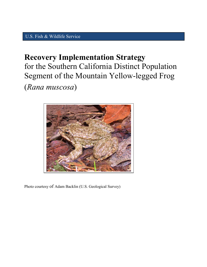## U.S. Fish & Wildlife Service

# **Recovery Implementation Strategy**  for the Southern California Distinct Population Segment of the Mountain Yellow-legged Frog

(*Rana muscosa*)



Photo courtesy of Adam Backlin (U.S. Geological Survey)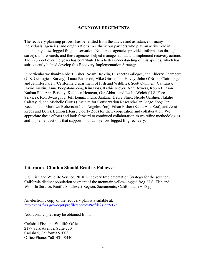#### **ACKNOWLEDGEMENTS**

The recovery planning process has benefitted from the advice and assistance of many individuals, agencies, and organizations. We thank our partners who play an active role in mountain yellow-legged frog conservation. Numerous agencies provided information through surveys and research, and these agencies helped manage habitat and implement recovery actions. Their support over the years has contributed to a better understanding of this species, which has subsequently helped develop this Recovery Implementation Strategy.

In particular we thank: Robert Fisher, Adam Backlin, Elizabeth Gallegos, and Thierry Chambert (U.S. Geological Survey); Laura Patterson, Mike Giusti, Tim Hovey, John O'Brien, Claire Ingel, and Jennifer Pareti (California Department of Fish and Wildlife); Scott Quinnell (Caltrans); David Austin, Anne Poopatanapong, Kim Boss, Kathie Meyer, Ann Bowers, Robin Eliason, Nathan Sill, Ann Berkley, Kathleen Hemeon, Gar Abbas, and Leslie Welch (U.S. Forest Service); Ron Swaisgood, Jeff Lemm, Frank Santana, Debra Shier, Nicole Gardner, Natalie Calatayud, and Michelle Curtis (Institute for Conservation Research-San Diego Zoo); Ian Recchio and Marlowe Robertson (Los Angeles Zoo); Ethan Fisher (Santa Ana Zoo); and Jessi Krebs and Derek Benson (Henry Doorly Zoo) for their cooperation and collaboration. We appreciate these efforts and look forward to continued collaboration as we refine methodologies and implement actions that support mountain yellow-legged frog recovery.

#### **Literature Citation Should Read as Follows:**

U.S. Fish and Wildlife Service. 2018. Recovery Implementation Strategy for the southern California distinct population segment of the mountain yellow-legged frog. U.S. Fish and Wildlife Service, Pacific Southwest Region, Sacramento, California.  $ii + 18$  pp.

An electronic copy of the recovery plan is available at: <http://ecos.fws.gov/ecp0/profile/speciesProfile?sId=8037>

Additional copies may be obtained from:

Carlsbad Fish and Wildlife Office 2177 Salk Avenue, Suite 250 Carlsbad, California 92008 Office Phone: 760–431–9440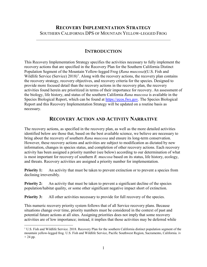## **INTRODUCTION**

This Recovery Implementation Strategy specifies the activities necessary to fully implement the recovery actions that are specified in the Recovery Plan for the Southern California Distinct Population Segment of the Mountain Yellow-legged Frog (*Rana muscosa*)(U.S. Fish and Wildlife Service (Service)  $2018$  $2018$  $2018$ <sup>1</sup>. Along with the recovery actions, the recovery plan contains the recovery strategy, recovery objectives, and recovery criteria for the species. Designed to provide more focused detail than the recovery actions in the recovery plan, the recovery activities found herein are prioritized in terms of their importance for recovery. An assessment of the biology, life history, and status of the southern California *Rana muscosa* is available in the Species Biological Report, which can be found at [https://ecos.fws.gov.](https://ecos.fws.gov/) The Species Biological Report and this Recovery Implementation Strategy will be updated on a routine basis as necessary.

## **RECOVERY ACTION AND ACTIVITY NARRATIVE**

The recovery actions, as specified in the recovery plan, as well as the more detailed activities identified below are those that, based on the best available science, we believe are necessary to bring about the recovery of southern *Rana muscosa* and ensure its long-term conservation. However, these recovery actions and activities are subject to modification as dictated by new information, changes in species status, and completion of other recovery actions. Each recovery activity has been assigned a priority number (see below) according to our determination of what is most important for recovery of southern *R. muscosa* based on its status, life history, ecology, and threats. Recovery activities are assigned a priority number for implementation.

**Priority 1:** An activity that must be taken to prevent extinction or to prevent a species from declining irreversibly.

**Priority 2:** An activity that must be taken to prevent a significant decline of the species population/habitat quality, or some other significant negative impact short of extinction.

**Priority 3:** All other activities necessary to provide for full recovery of the species.

This numeric recovery priority system follows that of all Service recovery plans. Because situations change over time, priority numbers must be considered in the context of past and potential future actions at all sites. Assigning priorities does not imply that some recovery activities are of low importance; instead, it implies that those activities may be deferred while

<span id="page-2-0"></span><sup>&</sup>lt;sup>1</sup> U.S. Fish and Wildlife Service. 2018. Recovery Plan for the southern California distinct population segment of the mountain yellow-legged frog. U.S. Fish and Wildlife Service, Pacific Southwest Region, Sacramento, California. iv  $+ 24$  pp.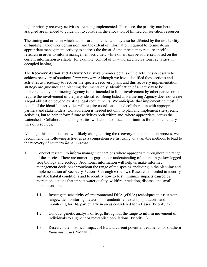higher priority recovery activities are being implemented. Therefore, the priority numbers assigned are intended to guide, not to constrain, the allocation of limited conservation resources.

The timing and order in which actions are implemented may also be affected by the availability of funding, landowner permission, and the extent of information required to formulate an appropriate management activity to address the threat. Some threats may require specific research in order to inform management activities, while others can be addressed based on the current information available (for example, control of unauthorized recreational activities in occupied habitat).

The **Recovery Action and Activity Narrative** provides details of the activities necessary to achieve recovery of southern *Rana muscosa*. Although we have identified these actions and activities as necessary to recover the species, recovery plans and this recovery implementation strategy are guidance and planning documents only. Identification of an activity to be implemented by a Partnering Agency is not intended to limit involvement by other parties or to require the involvement of the party identified. Being listed as Partnering Agency does not create a legal obligation beyond existing legal requirements. We anticipate that implementing most if not all of the identified activities will require coordination and collaboration with appropriate partners and stakeholders. Collaboration is needed not only to plan and implement site-specific activities, but to help inform future activities both within and, where appropriate, across the watersheds. Collaboration among parties will also maximize opportunities for complementary uses of resources.

Although this list of actions will likely change during the recovery implementation process, we recommend the following activities as a comprehensive list using all available methods to lead to the recovery of southern *Rana muscosa*.

- 1. Conduct research to inform management actions where appropriate throughout the range of the species. There are numerous gaps in our understanding of mountain yellow-legged frog biology and ecology. Additional information will help us make informed management decisions throughout the range of the species, including in the planning and implementation of Recovery Actions 3 through 6 (below). Research is needed to identify suitable habitat conditions and to identify how to best minimize impacts caused by recreation, actions that impact water quality, wildfire, predation, disease, and small population size.
	- 1.1. Investigate sensitivity of environmental DNA (eDNA) techniques to assist with rangewide monitoring, detection of unidentified extant populations, and monitoring for Bd, particularly in areas considered for releases (Priority 3).
	- 1.2. Conduct genetic analysis of frogs throughout the range to inform movement of individuals to augment or reestablish populations (Priority 2).
	- 1.3. Research the historical impact of Bd and current potential treatments for southern *Rana muscosa* (Priority 1).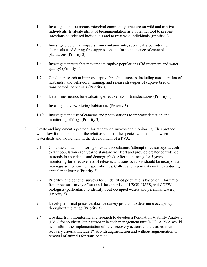- 1.4. Investigate the cutaneous microbial community structure on wild and captive individuals. Evaluate utility of bioaugmentation as a potential tool to prevent infections on released individuals and to treat wild individuals (Priority 1).
- 1.5. Investigate potential impacts from contaminants, specifically considering chemicals used during fire suppression and for maintenance of cannabis plantations (Priority 3).
- 1.6. Investigate threats that may impact captive populations (Bd treatment and water quality) (Priority 1).
- 1.7. Conduct research to improve captive breeding success, including consideration of husbandry and behavioral training, and release strategies of captive-bred or translocated individuals (Priority 3).
- 1.8. Determine metrics for evaluating effectiveness of translocations (Priority 1).
- 1.9. Investigate overwintering habitat use (Priority 3).
- 1.10. Investigate the use of cameras and photo stations to improve detection and monitoring of frogs (Priority 3).
- 2. Create and implement a protocol for rangewide surveys and monitoring. This protocol will allow for comparison of the relative status of the species within and between watersheds and would help in the development of a PVA.
	- 2.1. Continue annual monitoring of extant populations (attempt three surveys at each extant population each year to standardize effort and provide greater confidence in trends in abundance and demography). After monitoring for 5 years, monitoring for effectiveness of releases and translocations should be incorporated into regular monitoring responsibilities. Collect and report data on threats during annual monitoring (Priority 2).
	- 2.2. Prioritize and conduct surveys for unidentified populations based on information from previous survey efforts and the expertise of USGS, USFS, and CDFW biologists (particularly to identify trout-occupied waters and perennial waters) (Priority 3).
	- 2.3. Develop a formal presence/absence survey protocol to determine occupancy throughout the range (Priority 3).
	- 2.4. Use data from monitoring and research to develop a Population Viability Analysis (PVA) for southern *Rana muscosa* in each management unit (MU). A PVA would help inform the implementation of other recovery actions and the assessment of recovery criteria. Include PVA with augmentation and without augmentation or removal of animals for translocation.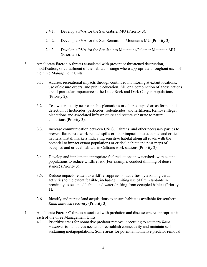- 2.4.1. Develop a PVA for the San Gabriel MU (Priority 3).
- 2.4.2. Develop a PVA for the San Bernardino Mountains MU (Priority 3).
- 2.4.3. Develop a PVA for the San Jacinto Mountains/Palomar Mountain MU (Priority 3).
- 3. Ameliorate **Factor A** threats associated with present or threatened destruction, modification, or curtailment of the habitat or range where appropriate throughout each of the three Management Units:
	- 3.1. Address recreational impacts through continued monitoring at extant locations, use of closure orders, and public education. All, or a combination of, these actions are of particular importance at the Little Rock and Dark Canyon populations (Priority 2).
	- 3.2. Test water quality near cannabis plantations or other occupied areas for potential detection of herbicides, pesticides, rodenticides, and fertilizers. Remove illegal plantations and associated infrastructure and restore substrate to natural conditions (Priority 3).
	- 3.3. Increase communication between USFS, Caltrans, and other necessary parties to prevent future roadwork-related spills or other impacts into occupied and critical habitats. Install markers indicating sensitive habitat along all roads with the potential to impact extant populations or critical habitat and post maps of occupied and critical habitats in Caltrans work stations (Priority 2).
	- 3.4. Develop and implement appropriate fuel reductions in watersheds with extant populations to reduce wildfire risk (For example, conduct thinning of dense stands) (Priority 3).
	- 3.5. Reduce impacts related to wildfire suppression activities by avoiding certain activities to the extent feasible, including limiting use of fire retardants in proximity to occupied habitat and water drafting from occupied habitat (Priority 1).
	- 3.6. Identify and pursue land acquisitions to ensure habitat is available for southern *Rana muscosa* recovery (Priority 3).
- 4. Ameliorate **Factor C** threats associated with predation and disease where appropriate in each of the three Management Units:
	- 4.1. Prioritize areas for nonnative predator removal according to southern *Rana muscosa* risk and areas needed to reestablish connectivity and maintain selfsustaining metapopulations. Some areas for potential nonnative predator removal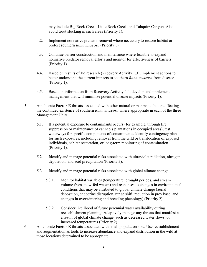may include Big Rock Creek, Little Rock Creek, and Tahquitz Canyon. Also, avoid trout stocking in such areas (Priority 1).

- 4.2. Implement nonnative predator removal where necessary to restore habitat or protect southern *Rana muscosa* (Priority 1).
- 4.3. Continue barrier construction and maintenance where feasible to expand nonnative predator removal efforts and monitor for effectiveness of barriers (Priority 1).
- 4.4. Based on results of Bd research (Recovery Activity 1.3), implement actions to better understand the current impacts to southern *Rana muscosa* from disease (Priority 1).
- 4.5. Based on information from Recovery Activity 4.4, develop and implement management that will minimize potential disease impacts (Priority 1).
- 5. Ameliorate **Factor E** threats associated with other natural or manmade factors affecting the continued existence of southern *Rana muscosa* where appropriate in each of the three Management Units.
	- 5.1. If a potential exposure to contaminants occurs (for example, through fire suppression or maintenance of cannabis plantations in occupied areas), test waterways for specific components of contaminants. Identify contingency plans for such exposures, including removal from the wild or translocation of exposed individuals, habitat restoration, or long-term monitoring of contamination (Priority 1).
	- 5.2. Identify and manage potential risks associated with ultraviolet radiation, nitrogen deposition, and acid precipitation (Priority 3).
	- 5.3. Identify and manage potential risks associated with global climate change.
		- 5.3.1. Monitor habitat variables (temperature, drought periods, and stream volume from snow-fed waters) and responses to changes in environmental conditions that may be attributed to global climate change (aerial deposition, endocrine disruption, range shift, reduction in prey base, and changes in overwintering and breeding phenology) (Priority 2).
		- 5.3.2. Consider likelihood of future perennial water availability during reestablishment planning. Adaptively manage any threats that manifest as a result of global climate change, such as decreased water flows, or increased temperatures (Priority 2).
- 6. Ameliorate **Factor E** threats associated with small population size. Use reestablishment and augmentation as tools to increase abundance and expand distribution in the wild at those locations determined to be appropriate.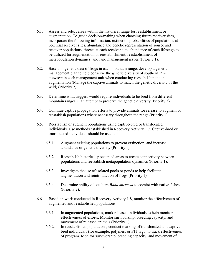- 6.1. Assess and select areas within the historical range for reestablishment or augmentation. To guide decision-making when choosing future receiver sites, incorporate the following information: extinction probabilities of populations at potential receiver sites, abundance and genetic representation of source and receiver populations, threats at each receiver site, abundance of each lifestage to be utilized for augmentation or reestablishment, reestablishment of metapopulation dynamics, and land management issues (Priority 1).
- 6.2. Based on genetic data of frogs in each mountain range, develop a genetic management plan to help conserve the genetic diversity of southern *Rana muscosa* in each management unit when conducting reestablishment or augmentation (Manage the captive animals to match the genetic diversity of the wild) (Priority 2).
- 6.3. Determine what triggers would require individuals to be bred from different mountain ranges in an attempt to preserve the genetic diversity (Priority 3).
- 6.4. Continue captive propagation efforts to provide animals for release to augment or reestablish populations where necessary throughout the range (Priority 1).
- 6.5. Reestablish or augment populations using captive-bred or translocated individuals. Use methods established in Recovery Activity 1.7. Captive-bred or translocated individuals should be used to:
	- 6.5.1. Augment existing populations to prevent extinction, and increase abundance or genetic diversity (Priority 1).
	- 6.5.2. Reestablish historically occupied areas to create connectivity between populations and reestablish metapopulation dynamics (Priority 1).
	- 6.5.3. Investigate the use of isolated pools or ponds to help facilitate augmentation and reintroduction of frogs (Priority 1).
	- 6.5.4. Determine ability of southern *Rana muscosa* to coexist with native fishes (Priority 2).
- 6.6. Based on work conducted in Recovery Activity 1.8, monitor the effectiveness of augmented and reestablished populations:
	- 6.6.1. In augmented populations, mark released individuals to help monitor effectiveness of efforts. Monitor survivorship, breeding capacity, and movement of released animals (Priority 1).
	- 6.6.2. In reestablished populations, conduct marking of translocated and captivebred individuals (for example, polymers or PIT tags) to track effectiveness of program. Monitor survivorship, breeding capacity, and movement of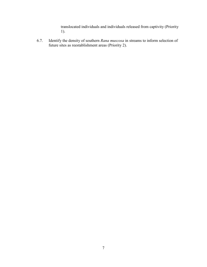translocated individuals and individuals released from captivity (Priority 1).

6.7. Identify the density of southern *Rana muscosa* in streams to inform selection of future sites as reestablishment areas (Priority 2).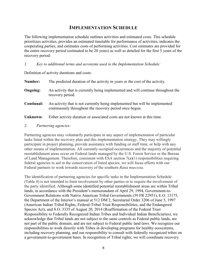### **IMPLEMENTATION SCHEDULE**

The following implementation schedule outlines activities and estimated costs. This schedule prioritizes activities, provides an estimated timetable for performance of activities, indicates the cooperating parties, and estimates costs of performing activities. Cost estimates are provided for the entire recovery period (estimated to be 20 years) as well as detailed for the first 5 years of the recovery period.

*1. Key to additional terms and acronyms used in the Implementation Schedule:*

Definition of activity durations and costs:

| Number:         | The predicted duration of the activity in years or the cost of the activity.                                                           |
|-----------------|----------------------------------------------------------------------------------------------------------------------------------------|
| <b>Ongoing:</b> | An activity that is currently being implemented and will continue throughout the<br>recovery period.                                   |
| Continual:      | An activity that is not currently being implemented but will be implemented<br>continuously throughout the recovery period once begun. |
| Unknown:        | Either activity duration or associated costs are not known at this time.                                                               |

*2. Partnering agencies:*

Partnering agencies may voluntarily participate in any aspect of implementation of particular tasks listed within the recovery plan and this implementation strategy. They may willingly participate in project planning, provide assistance with funding or staff time, or help with any other means of implementation. All currently occupied occurrences and the majority of potential reestablishment areas occur on Federal lands managed by the U.S. Forest Service or the Bureau of Land Management. Therefore, consistent with ESA section 7(a)(1) responsibilities requiring federal agencies to aid in the conservation of listed species, we will focus efforts with our Federal partners to work towards recovery of the southern *Rana muscosa*.

The identification of partnering agencies for specific tasks in the Implementation Schedule (Table 4) is not intended to limit involvement by other parties or to require the involvement of the party identified. Although some identified potential reestablishment areas are within Tribal lands, in accordance with the President's memorandum of April 29, 1994, Government-to-Government Relations with Native American Tribal Governments (59 FR 22951), E.O. 13175, the Department of the Interior's manual at 512 DM 2, Secretarial Order 3206 of June 5, 1997 (American Indian Tribal Rights, Federal-Tribal Trust Responsibilities, and the Endangered Species Act), and S.O. 3335 of August 20, 2014 (Reaffirmation of the Federal Trust Responsibility to Federally Recognized Indian Tribes and Individual Indian Beneficiaries), we acknowledge that Tribal lands are not subject to the same controls as Federal public lands, are not part of the public domain, and are not subject to Federal public land laws. We recognize our responsibilities to work directly with Tribes in developing programs for healthy ecosystems, including recovery planning, and our responsibility to consult with federally recognized tribes on a government-to-government basis. In recognition of Tribal rights, we will coordinate recovery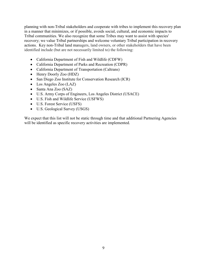planning with non-Tribal stakeholders and cooperate with tribes to implement this recovery plan in a manner that minimizes, or if possible, avoids social, cultural, and economic impacts to Tribal communities. We also recognize that some Tribes may want to assist with species' recovery; we value Tribal partnerships and welcome voluntary Tribal participation in recovery actions. Key non-Tribal land managers, land owners, or other stakeholders that have been identified include (but are not necessarily limited to) the following:

- California Department of Fish and Wildlife (CDFW)
- California Department of Parks and Recreation (CDPR)
- California Department of Transportation (Caltrans)
- Henry Doorly Zoo (HDZ)
- San Diego Zoo Institute for Conservation Research (ICR)
- Los Angeles Zoo (LAZ)
- Santa Ana Zoo (SAZ)
- U.S. Army Corps of Engineers, Los Angeles District (USACE)
- U.S. Fish and Wildlife Service (USFWS)
- U.S. Forest Service (USFS)
- U.S. Geological Survey (USGS)

We expect that this list will not be static through time and that additional Partnering Agencies will be identified as specific recovery activities are implemented.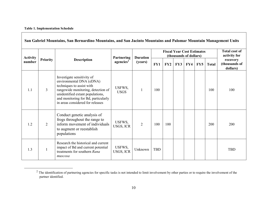<span id="page-11-0"></span>

| <b>Activity</b> |                 |                                                                                                                                                                                                                                          | <b>Partnering</b>     | <b>Duration</b> | <b>Fiscal Year Cost Estimates</b><br>(thousands of dollars) |     |     |     |     |              | <b>Total cost of</b><br>activity for  |
|-----------------|-----------------|------------------------------------------------------------------------------------------------------------------------------------------------------------------------------------------------------------------------------------------|-----------------------|-----------------|-------------------------------------------------------------|-----|-----|-----|-----|--------------|---------------------------------------|
| number          | <b>Priority</b> | <b>Description</b>                                                                                                                                                                                                                       | agencies <sup>2</sup> | (years)         | FY1                                                         | FY2 | FY3 | FY4 | FY5 | <b>Total</b> | recovery<br>(thousands of<br>dollars) |
| 1.1             | 3               | Investigate sensitivity of<br>environmental DNA (eDNA)<br>techniques to assist with<br>rangewide monitoring, detection of<br>unidentified extant populations,<br>and monitoring for Bd, particularly<br>in areas considered for releases | USFWS,<br><b>USGS</b> |                 | 100                                                         |     |     |     |     | 100          | 100                                   |
| 1.2             | $\overline{2}$  | Conduct genetic analysis of<br>frogs throughout the range to<br>inform movement of individuals<br>to augment or reestablish<br>populations                                                                                               | USFWS,<br>USGS, ICR   | $\overline{2}$  | 100                                                         | 100 |     |     |     | 200          | 200                                   |
| 1.3             |                 | Research the historical and current<br>impact of Bd and current potential<br>treatments for southern Rana<br>muscosa                                                                                                                     | USFWS,<br>USGS, ICR   | Unknown         | <b>TBD</b>                                                  |     |     |     |     |              | <b>TBD</b>                            |

 $2$  The identification of partnering agencies for specific tasks is not intended to limit involvement by other parties or to require the involvement of the partner identified.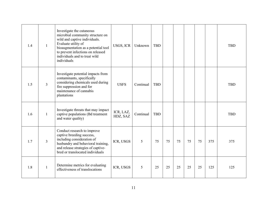| 1.4 | 1              | Investigate the cutaneous<br>microbial community structure on<br>wild and captive individuals.<br>Evaluate utility of<br>bioaugmentation as a potential tool<br>to prevent infections on released<br>individuals and to treat wild<br>individuals | USGS, ICR             | Unknown   | <b>TBD</b> |    |    |    |    |     | <b>TBD</b> |
|-----|----------------|---------------------------------------------------------------------------------------------------------------------------------------------------------------------------------------------------------------------------------------------------|-----------------------|-----------|------------|----|----|----|----|-----|------------|
| 1.5 | $\mathfrak{Z}$ | Investigate potential impacts from<br>contaminants, specifically<br>considering chemicals used during<br>fire suppression and for<br>maintenance of cannabis<br>plantations                                                                       | <b>USFS</b>           | Continual | <b>TBD</b> |    |    |    |    |     | <b>TBD</b> |
| 1.6 | 1              | Investigate threats that may impact<br>captive populations (Bd treatment<br>and water quality)                                                                                                                                                    | ICR, LAZ,<br>HDZ, SAZ | Continual | <b>TBD</b> |    |    |    |    |     | <b>TBD</b> |
| 1.7 | $\mathfrak{Z}$ | Conduct research to improve<br>captive breeding success,<br>including consideration of<br>husbandry and behavioral training,<br>and release strategies of captive-<br>bred or translocated individuals                                            | ICR, USGS             | 5         | 75         | 75 | 75 | 75 | 75 | 375 | 375        |
| 1.8 | $\mathbf{1}$   | Determine metrics for evaluating<br>effectiveness of translocations                                                                                                                                                                               | ICR, USGS             | 5         | 25         | 25 | 25 | 25 | 25 | 125 | 125        |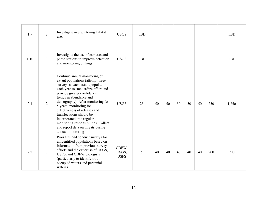| 1.9  | $\overline{3}$          | Investigate overwintering habitat<br>use.                                                                                                                                                                                                                                                                                                                                                                                                                              | <b>USGS</b>                   | <b>TBD</b> |    |    |    |    |    |     | <b>TBD</b> |
|------|-------------------------|------------------------------------------------------------------------------------------------------------------------------------------------------------------------------------------------------------------------------------------------------------------------------------------------------------------------------------------------------------------------------------------------------------------------------------------------------------------------|-------------------------------|------------|----|----|----|----|----|-----|------------|
| 1.10 | $\overline{3}$          | Investigate the use of cameras and<br>photo stations to improve detection<br>and monitoring of frogs                                                                                                                                                                                                                                                                                                                                                                   | <b>USGS</b>                   | <b>TBD</b> |    |    |    |    |    |     | <b>TBD</b> |
| 2.1  | $\overline{2}$          | Continue annual monitoring of<br>extant populations (attempt three<br>surveys at each extant population<br>each year to standardize effort and<br>provide greater confidence in<br>trends in abundance and<br>demography). After monitoring for<br>5 years, monitoring for<br>effectiveness of releases and<br>translocations should be<br>incorporated into regular<br>monitoring responsibilities. Collect<br>and report data on threats during<br>annual monitoring | <b>USGS</b>                   | 25         | 50 | 50 | 50 | 50 | 50 | 250 | 1,250      |
| 2.2  | $\overline{\mathbf{3}}$ | Prioritize and conduct surveys for<br>unidentified populations based on<br>information from previous survey<br>efforts and the expertise of USGS,<br>USFS, and CDFW biologists<br>(particularly to identify trout-<br>occupied waters and perennial<br>waters)                                                                                                                                                                                                         | CDFW,<br>USGS,<br><b>USFS</b> | 5          | 40 | 40 | 40 | 40 | 40 | 200 | 200        |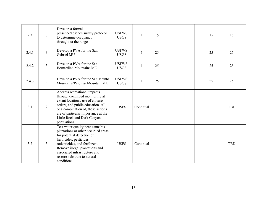| 2.3   | 3              | Develop a formal<br>presence/absence survey protocol<br>to determine occupancy<br>throughout the range                                                                                                                                                                              | USFWS,<br><b>USGS</b> | 1         | 15 |  |  | 15 | 15         |
|-------|----------------|-------------------------------------------------------------------------------------------------------------------------------------------------------------------------------------------------------------------------------------------------------------------------------------|-----------------------|-----------|----|--|--|----|------------|
| 2.4.1 | $\overline{3}$ | Develop a PVA for the San<br>Gabriel MU                                                                                                                                                                                                                                             | USFWS,<br><b>USGS</b> | 1         | 25 |  |  | 25 | 25         |
| 2.4.2 | $\overline{3}$ | Develop a PVA for the San<br>Bernardino Mountains MU                                                                                                                                                                                                                                | USFWS,<br><b>USGS</b> |           | 25 |  |  | 25 | 25         |
| 2.4.3 | $\overline{3}$ | Develop a PVA for the San Jacinto<br>Mountains/Palomar Mountain MU                                                                                                                                                                                                                  | USFWS,<br><b>USGS</b> | 1         | 25 |  |  | 25 | 25         |
| 3.1   | $\overline{2}$ | Address recreational impacts<br>through continued monitoring at<br>extant locations, use of closure<br>orders, and public education. All,<br>or a combination of, these actions<br>are of particular importance at the<br>Little Rock and Dark Canyon<br>populations                | <b>USFS</b>           | Continual |    |  |  |    | <b>TBD</b> |
| 3.2   | 3              | Test water quality near cannabis<br>plantations or other occupied areas<br>for potential detection of<br>herbicides, pesticides,<br>rodenticides, and fertilizers.<br>Remove illegal plantations and<br>associated infrastructure and<br>restore substrate to natural<br>conditions | <b>USFS</b>           | Continual |    |  |  |    | <b>TBD</b> |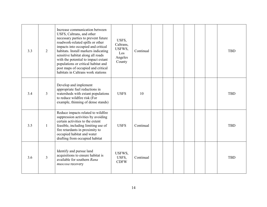| 3.3 | 2              | Increase communication between<br>USFS, Caltrans, and other<br>necessary parties to prevent future<br>roadwork-related spills or other<br>impacts into occupied and critical<br>habitats. Install markers indicating<br>sensitive habitat along all roads<br>with the potential to impact extant<br>populations or critical habitat and<br>post maps of occupied and critical<br>habitats in Caltrans work stations | USFS,<br>Caltrans,<br>USFWS,<br>Los<br>Angeles<br>County | Continual |  |  |  | <b>TBD</b> |
|-----|----------------|---------------------------------------------------------------------------------------------------------------------------------------------------------------------------------------------------------------------------------------------------------------------------------------------------------------------------------------------------------------------------------------------------------------------|----------------------------------------------------------|-----------|--|--|--|------------|
| 3.4 | 3              | Develop and implement<br>appropriate fuel reductions in<br>watersheds with extant populations<br>to reduce wildfire risk (For<br>example, thinning of dense stands)                                                                                                                                                                                                                                                 | <b>USFS</b>                                              | 10        |  |  |  | <b>TBD</b> |
| 3.5 | 1              | Reduce impacts related to wildfire<br>suppression activities by avoiding<br>certain activities to the extent<br>feasible, including limiting use of<br>fire retardants in proximity to<br>occupied habitat and water<br>drafting from occupied habitat                                                                                                                                                              | <b>USFS</b>                                              | Continual |  |  |  | <b>TBD</b> |
| 3.6 | $\overline{3}$ | Identify and pursue land<br>acquisitions to ensure habitat is<br>available for southern Rana<br>muscosa recovery                                                                                                                                                                                                                                                                                                    | USFWS,<br>USFS,<br><b>CDFW</b>                           | Continual |  |  |  | <b>TBD</b> |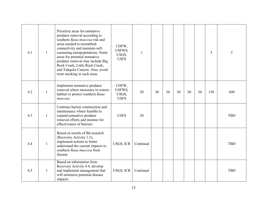| 4.1 | $\mathbf{1}$ | Prioritize areas for nonnative<br>predator removal according to<br>southern Rana muscosa risk and<br>areas needed to reestablish<br>connectivity and maintain self-<br>sustaining metapopulations. Some<br>areas for potential nonnative<br>predator removal may include Big<br>Rock Creek, Little Rock Creek,<br>and Tahquitz Canyon. Also, avoid<br>trout stocking in such areas | CDFW,<br>USFWS,<br>USGS,<br><b>USFS</b> | 1         |    |    |    |    |    | 5   | 5          |
|-----|--------------|------------------------------------------------------------------------------------------------------------------------------------------------------------------------------------------------------------------------------------------------------------------------------------------------------------------------------------------------------------------------------------|-----------------------------------------|-----------|----|----|----|----|----|-----|------------|
| 4.2 | $\mathbf{1}$ | Implement nonnative predator<br>removal where necessary to restore<br>habitat or protect southern Rana<br>muscosa                                                                                                                                                                                                                                                                  | CDFW,<br>USFWS,<br>USGS,<br><b>USFS</b> | 20        | 30 | 30 | 30 | 30 | 30 | 150 | 600        |
| 4.3 | $\mathbf{1}$ | Continue barrier construction and<br>maintenance where feasible to<br>expand nonnative predator<br>removal efforts and monitor for<br>effectiveness of barriers                                                                                                                                                                                                                    | <b>USFS</b>                             | 20        |    |    |    |    |    |     | <b>TBD</b> |
| 4.4 | $\mathbf{1}$ | Based on results of Bd research<br>(Recovery Activity 1.3),<br>implement actions to better<br>understand the current impacts to<br>southern Rana muscosa from<br>disease                                                                                                                                                                                                           | USGS, ICR                               | Continual |    |    |    |    |    |     | <b>TBD</b> |
| 4.5 | $\mathbf{1}$ | Based on information from<br>Recovery Activity 4.4, develop<br>and implement management that<br>will minimize potential disease<br>impacts                                                                                                                                                                                                                                         | USGS, ICR                               | Continual |    |    |    |    |    |     | <b>TBD</b> |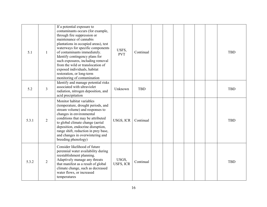| 5.1   | 1              | If a potential exposure to<br>contaminants occurs (for example,<br>through fire suppression or<br>maintenance of cannabis<br>plantations in occupied areas), test<br>waterways for specific components<br>of contaminants immediately.<br>Identify contingency plans for<br>such exposures, including removal<br>from the wild or translocation of<br>exposed individuals, habitat<br>restoration, or long-term<br>monitoring of contamination | USFS,<br><b>PVT</b>       | Continual  |  |  |  | <b>TBD</b> |
|-------|----------------|------------------------------------------------------------------------------------------------------------------------------------------------------------------------------------------------------------------------------------------------------------------------------------------------------------------------------------------------------------------------------------------------------------------------------------------------|---------------------------|------------|--|--|--|------------|
| 5.2   | $\overline{3}$ | Identify and manage potential risks<br>associated with ultraviolet<br>radiation, nitrogen deposition, and<br>acid precipitation                                                                                                                                                                                                                                                                                                                | Unknown                   | <b>TBD</b> |  |  |  | <b>TBD</b> |
| 5.3.1 | $\overline{2}$ | Monitor habitat variables<br>(temperature, drought periods, and<br>stream volume) and responses to<br>changes in environmental<br>conditions that may be attributed<br>to global climate change (aerial<br>deposition, endocrine disruption,<br>range shift, reduction in prey base,<br>and changes in overwintering and<br>breeding phenology)                                                                                                | USGS, ICR                 | Continual  |  |  |  | <b>TBD</b> |
| 5.3.2 | $\overline{2}$ | Consider likelihood of future<br>perennial water availability during<br>reestablishment planning.<br>Adaptively manage any threats<br>that manifest as a result of global<br>climate change, such as decreased<br>water flows, or increased<br>temperatures                                                                                                                                                                                    | USGS,<br><b>USFS, ICR</b> | Continual  |  |  |  | <b>TBD</b> |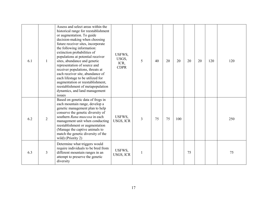| 6.1 |   | Assess and select areas within the<br>historical range for reestablishment<br>or augmentation. To guide<br>decision-making when choosing<br>future receiver sites, incorporate<br>the following information:<br>extinction probabilities of<br>populations at potential receiver<br>sites, abundance and genetic<br>representation of source and<br>receiver populations, threats at<br>each receiver site, abundance of<br>each lifestage to be utilized for<br>augmentation or reestablishment,<br>reestablishment of metapopulation<br>dynamics, and land management<br><i>issues</i> | USFWS,<br>USGS,<br>ICR,<br><b>CDPR</b> | 5 | 40 | 20 | 20  | 20 | 20 | 120 | 120 |
|-----|---|------------------------------------------------------------------------------------------------------------------------------------------------------------------------------------------------------------------------------------------------------------------------------------------------------------------------------------------------------------------------------------------------------------------------------------------------------------------------------------------------------------------------------------------------------------------------------------------|----------------------------------------|---|----|----|-----|----|----|-----|-----|
| 6.2 | 2 | Based on genetic data of frogs in<br>each mountain range, develop a<br>genetic management plan to help<br>conserve the genetic diversity of<br>southern Rana muscosa in each<br>management unit when conducting<br>reestablishment or augmentation<br>(Manage the captive animals to<br>match the genetic diversity of the<br>wild) (Priority 2)                                                                                                                                                                                                                                         | USFWS,<br>USGS, ICR                    | 3 | 75 | 75 | 100 |    |    |     | 250 |
| 6.3 | 3 | Determine what triggers would<br>require individuals to be bred from<br>different mountain ranges in an<br>attempt to preserve the genetic<br>diversity                                                                                                                                                                                                                                                                                                                                                                                                                                  | USFWS,<br>USGS, ICR                    |   |    |    |     | 75 |    |     | 75  |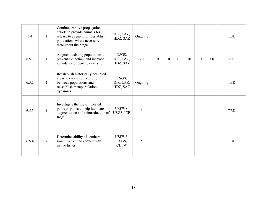| 6.4   | 1              | Continue captive propagation<br>efforts to provide animals for<br>release to augment or reestablish<br>populations where necessary<br>throughout the range | ICR, LAZ,<br>HDZ, SAZ          | Ongoing |    |    |    |    |    |     | <b>TBD</b> |
|-------|----------------|------------------------------------------------------------------------------------------------------------------------------------------------------------|--------------------------------|---------|----|----|----|----|----|-----|------------|
| 6.5.1 | $\mathbf{1}$   | Augment existing populations to<br>prevent extinction, and increase<br>abundance or genetic diversity                                                      | USGS,<br>ICR, LAZ,<br>HDZ, SAZ | 20      | 10 | 10 | 10 | 10 | 10 | 200 | 200        |
| 6.5.2 | 1              | Reestablish historically occupied<br>areas to create connectivity<br>between populations and<br>reestablish metapopulation<br>dynamics                     | USGS,<br>ICR, LAZ,<br>HDZ, SAZ | Ongoing |    |    |    |    |    |     | <b>TBD</b> |
| 6.5.3 |                | Investigate the use of isolated<br>pools or ponds to help facilitate<br>augmentation and reintroduction of<br>frogs                                        | USFWS,<br>USGS, ICR            | 5       |    |    |    |    |    |     | <b>TBD</b> |
| 6.5.4 | $\overline{2}$ | Determine ability of southern<br>Rana muscosa to coexist with<br>native fishes                                                                             | USFWS,<br>USGS,<br><b>CDFW</b> | 5       |    |    |    |    |    |     | <b>TBD</b> |